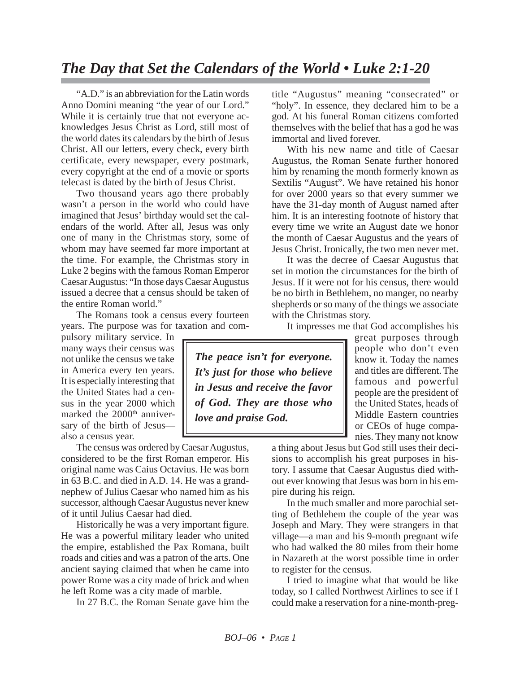"A.D." is an abbreviation for the Latin words Anno Domini meaning "the year of our Lord." While it is certainly true that not everyone acknowledges Jesus Christ as Lord, still most of the world dates its calendars by the birth of Jesus Christ. All our letters, every check, every birth certificate, every newspaper, every postmark, every copyright at the end of a movie or sports telecast is dated by the birth of Jesus Christ.

Two thousand years ago there probably wasn't a person in the world who could have imagined that Jesus' birthday would set the calendars of the world. After all, Jesus was only one of many in the Christmas story, some of whom may have seemed far more important at the time. For example, the Christmas story in Luke 2 begins with the famous Roman Emperor Caesar Augustus: "In those days Caesar Augustus issued a decree that a census should be taken of the entire Roman world."

The Romans took a census every fourteen years. The purpose was for taxation and com-

pulsory military service. In many ways their census was not unlike the census we take in America every ten years. It is especially interesting that the United States had a census in the year 2000 which marked the 2000<sup>th</sup> anniversary of the birth of Jesus also a census year.

The census was ordered by Caesar Augustus, considered to be the first Roman emperor. His original name was Caius Octavius. He was born in 63 B.C. and died in A.D. 14. He was a grandnephew of Julius Caesar who named him as his successor, although Caesar Augustus never knew of it until Julius Caesar had died.

Historically he was a very important figure. He was a powerful military leader who united the empire, established the Pax Romana, built roads and cities and was a patron of the arts. One ancient saying claimed that when he came into power Rome was a city made of brick and when he left Rome was a city made of marble.

In 27 B.C. the Roman Senate gave him the

title "Augustus" meaning "consecrated" or "holy". In essence, they declared him to be a god. At his funeral Roman citizens comforted themselves with the belief that has a god he was immortal and lived forever.

With his new name and title of Caesar Augustus, the Roman Senate further honored him by renaming the month formerly known as Sextilis "August". We have retained his honor for over 2000 years so that every summer we have the 31-day month of August named after him. It is an interesting footnote of history that every time we write an August date we honor the month of Caesar Augustus and the years of Jesus Christ. Ironically, the two men never met.

It was the decree of Caesar Augustus that set in motion the circumstances for the birth of Jesus. If it were not for his census, there would be no birth in Bethlehem, no manger, no nearby shepherds or so many of the things we associate with the Christmas story.

It impresses me that God accomplishes his

*The peace isn't for everyone. It's just for those who believe in Jesus and receive the favor of God. They are those who love and praise God.*

great purposes through people who don't even know it. Today the names and titles are different. The famous and powerful people are the president of the United States, heads of Middle Eastern countries or CEOs of huge companies. They many not know

a thing about Jesus but God still uses their decisions to accomplish his great purposes in history. I assume that Caesar Augustus died without ever knowing that Jesus was born in his empire during his reign.

In the much smaller and more parochial setting of Bethlehem the couple of the year was Joseph and Mary. They were strangers in that village—a man and his 9-month pregnant wife who had walked the 80 miles from their home in Nazareth at the worst possible time in order to register for the census.

I tried to imagine what that would be like today, so I called Northwest Airlines to see if I could make a reservation for a nine-month-preg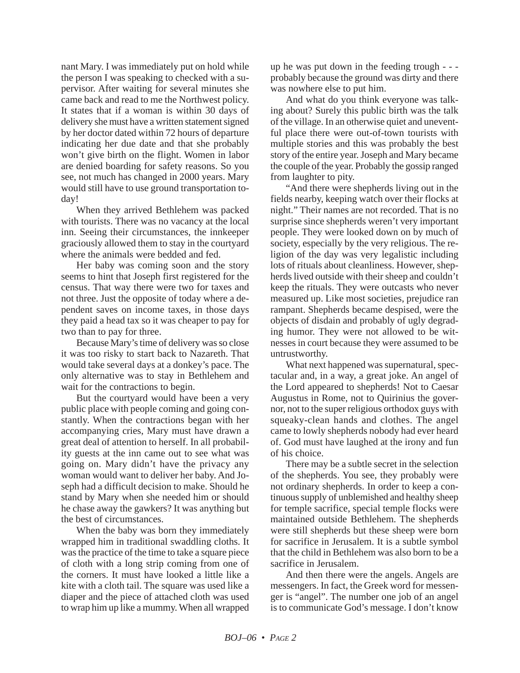nant Mary. I was immediately put on hold while the person I was speaking to checked with a supervisor. After waiting for several minutes she came back and read to me the Northwest policy. It states that if a woman is within 30 days of delivery she must have a written statement signed by her doctor dated within 72 hours of departure indicating her due date and that she probably won't give birth on the flight. Women in labor are denied boarding for safety reasons. So you see, not much has changed in 2000 years. Mary would still have to use ground transportation today!

When they arrived Bethlehem was packed with tourists. There was no vacancy at the local inn. Seeing their circumstances, the innkeeper graciously allowed them to stay in the courtyard where the animals were bedded and fed.

Her baby was coming soon and the story seems to hint that Joseph first registered for the census. That way there were two for taxes and not three. Just the opposite of today where a dependent saves on income taxes, in those days they paid a head tax so it was cheaper to pay for two than to pay for three.

Because Mary's time of delivery was so close it was too risky to start back to Nazareth. That would take several days at a donkey's pace. The only alternative was to stay in Bethlehem and wait for the contractions to begin.

But the courtyard would have been a very public place with people coming and going constantly. When the contractions began with her accompanying cries, Mary must have drawn a great deal of attention to herself. In all probability guests at the inn came out to see what was going on. Mary didn't have the privacy any woman would want to deliver her baby. And Joseph had a difficult decision to make. Should he stand by Mary when she needed him or should he chase away the gawkers? It was anything but the best of circumstances.

When the baby was born they immediately wrapped him in traditional swaddling cloths. It was the practice of the time to take a square piece of cloth with a long strip coming from one of the corners. It must have looked a little like a kite with a cloth tail. The square was used like a diaper and the piece of attached cloth was used to wrap him up like a mummy. When all wrapped

up he was put down in the feeding trough - - probably because the ground was dirty and there was nowhere else to put him.

And what do you think everyone was talking about? Surely this public birth was the talk of the village. In an otherwise quiet and uneventful place there were out-of-town tourists with multiple stories and this was probably the best story of the entire year. Joseph and Mary became the couple of the year. Probably the gossip ranged from laughter to pity.

"And there were shepherds living out in the fields nearby, keeping watch over their flocks at night." Their names are not recorded. That is no surprise since shepherds weren't very important people. They were looked down on by much of society, especially by the very religious. The religion of the day was very legalistic including lots of rituals about cleanliness. However, shepherds lived outside with their sheep and couldn't keep the rituals. They were outcasts who never measured up. Like most societies, prejudice ran rampant. Shepherds became despised, were the objects of disdain and probably of ugly degrading humor. They were not allowed to be witnesses in court because they were assumed to be untrustworthy.

What next happened was supernatural, spectacular and, in a way, a great joke. An angel of the Lord appeared to shepherds! Not to Caesar Augustus in Rome, not to Quirinius the governor, not to the super religious orthodox guys with squeaky-clean hands and clothes. The angel came to lowly shepherds nobody had ever heard of. God must have laughed at the irony and fun of his choice.

There may be a subtle secret in the selection of the shepherds. You see, they probably were not ordinary shepherds. In order to keep a continuous supply of unblemished and healthy sheep for temple sacrifice, special temple flocks were maintained outside Bethlehem. The shepherds were still shepherds but these sheep were born for sacrifice in Jerusalem. It is a subtle symbol that the child in Bethlehem was also born to be a sacrifice in Jerusalem.

And then there were the angels. Angels are messengers. In fact, the Greek word for messenger is "angel". The number one job of an angel is to communicate God's message. I don't know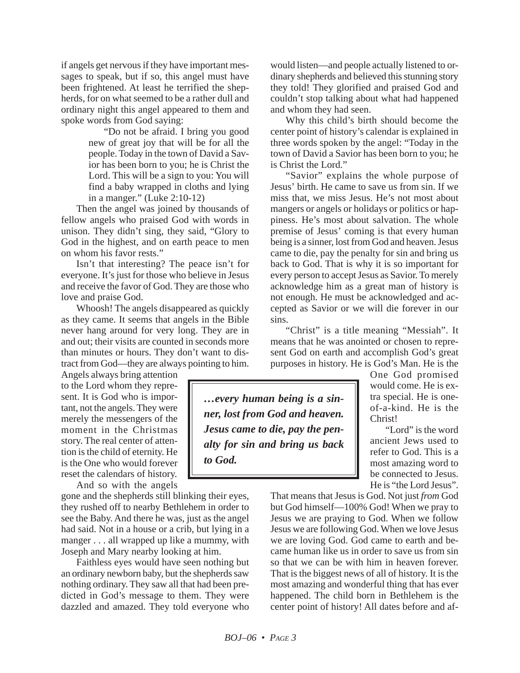if angels get nervous if they have important messages to speak, but if so, this angel must have been frightened. At least he terrified the shepherds, for on what seemed to be a rather dull and ordinary night this angel appeared to them and spoke words from God saying:

> "Do not be afraid. I bring you good new of great joy that will be for all the people. Today in the town of David a Savior has been born to you; he is Christ the Lord. This will be a sign to you: You will find a baby wrapped in cloths and lying in a manger." (Luke 2:10-12)

Then the angel was joined by thousands of fellow angels who praised God with words in unison. They didn't sing, they said, "Glory to God in the highest, and on earth peace to men on whom his favor rests."

Isn't that interesting? The peace isn't for everyone. It's just for those who believe in Jesus and receive the favor of God. They are those who love and praise God.

Whoosh! The angels disappeared as quickly as they came. It seems that angels in the Bible never hang around for very long. They are in and out; their visits are counted in seconds more than minutes or hours. They don't want to distract from God—they are always pointing to him.

Angels always bring attention to the Lord whom they represent. It is God who is important, not the angels. They were merely the messengers of the moment in the Christmas story. The real center of attention is the child of eternity. He is the One who would forever reset the calendars of history.

And so with the angels gone and the shepherds still blinking their eyes,

they rushed off to nearby Bethlehem in order to see the Baby. And there he was, just as the angel had said. Not in a house or a crib, but lying in a manger . . . all wrapped up like a mummy, with Joseph and Mary nearby looking at him.

Faithless eyes would have seen nothing but an ordinary newborn baby, but the shepherds saw nothing ordinary. They saw all that had been predicted in God's message to them. They were dazzled and amazed. They told everyone who would listen—and people actually listened to ordinary shepherds and believed this stunning story they told! They glorified and praised God and couldn't stop talking about what had happened and whom they had seen.

Why this child's birth should become the center point of history's calendar is explained in three words spoken by the angel: "Today in the town of David a Savior has been born to you; he is Christ the Lord."

"Savior" explains the whole purpose of Jesus' birth. He came to save us from sin. If we miss that, we miss Jesus. He's not most about mangers or angels or holidays or politics or happiness. He's most about salvation. The whole premise of Jesus' coming is that every human being is a sinner, lost from God and heaven. Jesus came to die, pay the penalty for sin and bring us back to God. That is why it is so important for every person to accept Jesus as Savior. To merely acknowledge him as a great man of history is not enough. He must be acknowledged and accepted as Savior or we will die forever in our sins.

"Christ" is a title meaning "Messiah". It means that he was anointed or chosen to represent God on earth and accomplish God's great purposes in history. He is God's Man. He is the

*…every human being is a sinner, lost from God and heaven. Jesus came to die, pay the penalty for sin and bring us back to God.*

One God promised would come. He is extra special. He is oneof-a-kind. He is the Christ!

"Lord" is the word ancient Jews used to refer to God. This is a most amazing word to be connected to Jesus. He is "the Lord Jesus".

That means that Jesus is God. Not just *from* God but God himself—100% God! When we pray to Jesus we are praying to God. When we follow Jesus we are following God. When we love Jesus we are loving God. God came to earth and became human like us in order to save us from sin so that we can be with him in heaven forever. That is the biggest news of all of history. It is the most amazing and wonderful thing that has ever happened. The child born in Bethlehem is the center point of history! All dates before and af